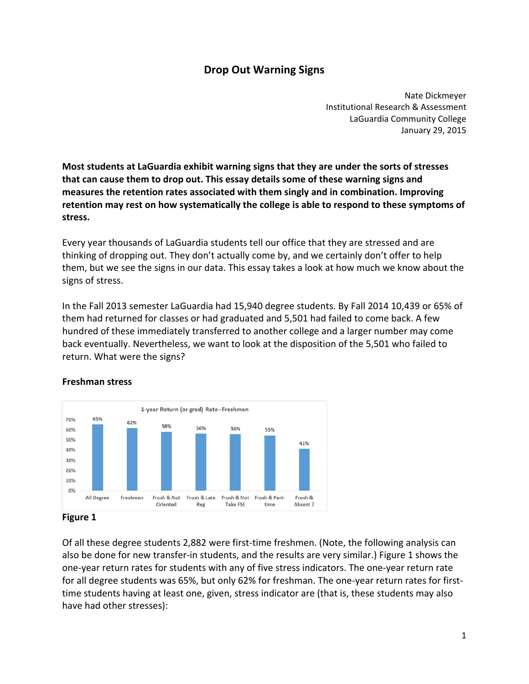# **Drop Out Warning Signs**

 Nate Dickmeyer Institutional Research & Assessment LaGuardia Community College January 29, 2015

Most students at LaGuardia exhibit warning signs that they are under the sorts of stresses that can cause them to drop out. This essay details some of these warning signs and  **measures the retention rates associated with them singly and in combination. Improving** retention may rest on how systematically the college is able to respond to these symptoms of **stress.**

 Every year thousands of LaGuardia students tell our office that they are stressed and are thinking of dropping out. They don't actually come by, and we certainly don't offer to help them, but we see the signs in our data. This essay takes a look at how much we know about the signs of stress.

 In the Fall 2013 semester LaGuardia had 15,940 degree students. By Fall 2014 10,439 or 65% of them had returned for classes or had graduated and 5,501 had failed to come back. A few hundred of these immediately transferred to another college and a larger number may come back eventually. Nevertheless, we want to look at the disposition of the 5,501 who failed to return. What were the signs?



#### **Freshman stress**

### **Figure 1**

 Of all these degree students 2,882 were first‐time freshmen. (Note, the following analysis can also be done for new transfer‐in students, and the results are very similar.) Figure 1 shows the one‐year return rates for students with any of five stress indicators. The one‐year return rate for all degree students was 65%, but only 62% for freshman. The one‐year return rates for first‐ time students having at least one, given, stress indicator are (that is, these students may also have had other stresses):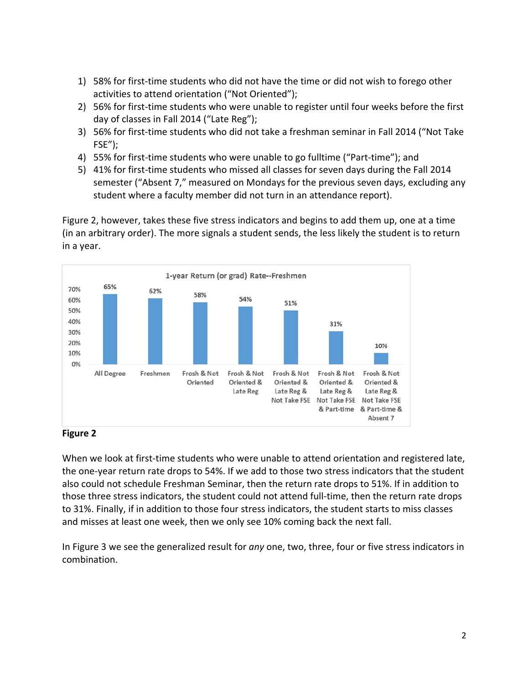- 1) 58% for first‐time students who did not have the time or did not wish to forego other activities to attend orientation ("Not Oriented");
- 2) 56% for first‐time students who were unable to register until four weeks before the first day of classes in Fall 2014 ("Late Reg");
- 3) 56% for first‐time students who did not take a freshman seminar in Fall 2014 ("Not Take FSE");
- 4) 55% for first‐time students who were unable to go fulltime ("Part‐time"); and
- 5) 41% for first-time students who missed all classes for seven days during the Fall 2014 semester ("Absent 7," measured on Mondays for the previous seven days, excluding any student where a faculty member did not turn in an attendance report).

 Figure 2, however, takes these five stress indicators and begins to add them up, one at a time (in an arbitrary order). The more signals a student sends, the less likely the student is to return in a year.



#### **Figure 2**

When we look at first-time students who were unable to attend orientation and registered late, the one‐year return rate drops to 54%. If we add to those two stress indicators that the student also could not schedule Freshman Seminar, then the return rate drops to 51%. If in addition to those three stress indicators, the student could not attend full‐time, then the return rate drops to 31%. Finally, if in addition to those four stress indicators, the student starts to miss classes and misses at least one week, then we only see 10% coming back the next fall.

 In Figure 3 we see the generalized result for *any* one, two, three, four or five stress indicators in combination.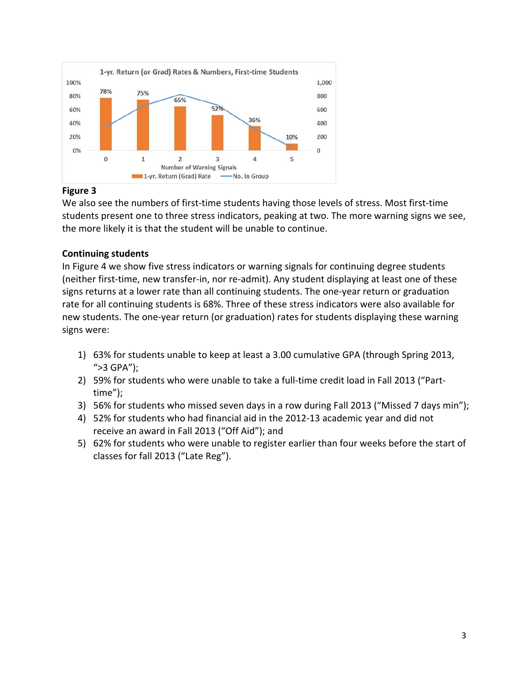

### **Figure 3**

We also see the numbers of first-time students having those levels of stress. Most first-time students present one to three stress indicators, peaking at two. The more warning signs we see, the more likely it is that the student will be unable to continue.

## **Continuing students**

 In Figure 4 we show five stress indicators or warning signals for continuing degree students (neither first‐time, new transfer‐in, nor re‐admit). Any student displaying at least one of these signs returns at a lower rate than all continuing students. The one‐year return or graduation rate for all continuing students is 68%. Three of these stress indicators were also available for new students. The one‐year return (or graduation) rates for students displaying these warning signs were:

- 1) 63% for students unable to keep at least a 3.00 cumulative GPA (through Spring 2013, ">3 GPA");
- 2) 59% for students who were unable to take a full-time credit load in Fall 2013 ("Parttime");
- 3) 56% for students who missed seven days in a row during Fall 2013 ("Missed 7 days min");
- 4) 52% for students who had financial aid in the 2012‐13 academic year and did not receive an award in Fall 2013 ("Off Aid"); and
- 5) 62% for students who were unable to register earlier than four weeks before the start of classes for fall 2013 ("Late Reg").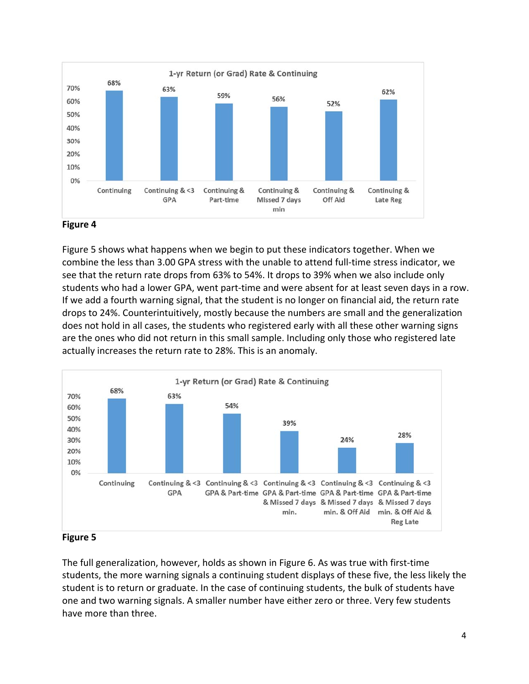

#### **Figure 4**

 Figure 5 shows what happens when we begin to put these indicators together. When we combine the less than 3.00 GPA stress with the unable to attend full‐time stress indicator, we see that the return rate drops from 63% to 54%. It drops to 39% when we also include only students who had a lower GPA, went part‐time and were absent for at least seven days in a row. If we add a fourth warning signal, that the student is no longer on financial aid, the return rate drops to 24%. Counterintuitively, mostly because the numbers are small and the generalization does not hold in all cases, the students who registered early with all these other warning signs are the ones who did not return in this small sample. Including only those who registered late actually increases the return rate to 28%. This is an anomaly.



#### **Figure 5**

 The full generalization, however, holds as shown in Figure 6. As was true with first‐time students, the more warning signals a continuing student displays of these five, the less likely the student is to return or graduate. In the case of continuing students, the bulk of students have one and two warning signals. A smaller number have either zero or three. Very few students have more than three.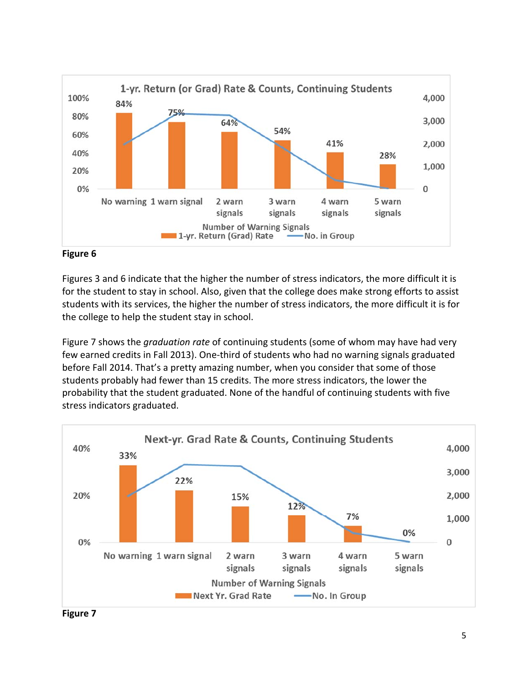



 Figures 3 and 6 indicate that the higher the number of stress indicators, the more difficult it is for the student to stay in school. Also, given that the college does make strong efforts to assist students with its services, the higher the number of stress indicators, the more difficult it is for the college to help the student stay in school.

 Figure 7 shows the *graduation rate* of continuing students (some of whom may have had very few earned credits in Fall 2013). One‐third of students who had no warning signals graduated before Fall 2014. That's a pretty amazing number, when you consider that some of those students probably had fewer than 15 credits. The more stress indicators, the lower the probability that the student graduated. None of the handful of continuing students with five stress indicators graduated.



 **Figure 7**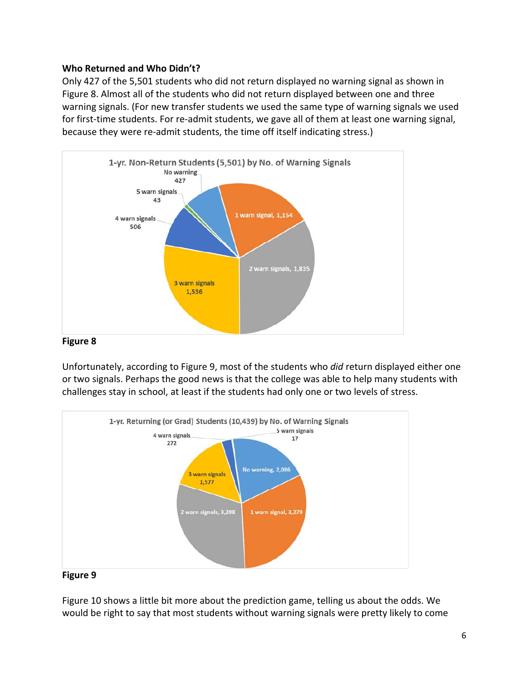### **Who Returned and Who Didn't?**

 Only 427 of the 5,501 students who did not return displayed no warning signal as shown in Figure 8. Almost all of the students who did not return displayed between one and three warning signals. (For new transfer students we used the same type of warning signals we used for first‐time students. For re‐admit students, we gave all of them at least one warning signal, because they were re‐admit students, the time off itself indicating stress.)



### **Figure 8**

 Unfortunately, according to Figure 9, most of the students who *did* return displayed either one or two signals. Perhaps the good news is that the college was able to help many students with challenges stay in school, at least if the students had only one or two levels of stress.



#### **Figure 9**

 Figure 10 shows a little bit more about the prediction game, telling us about the odds. We would be right to say that most students without warning signals were pretty likely to come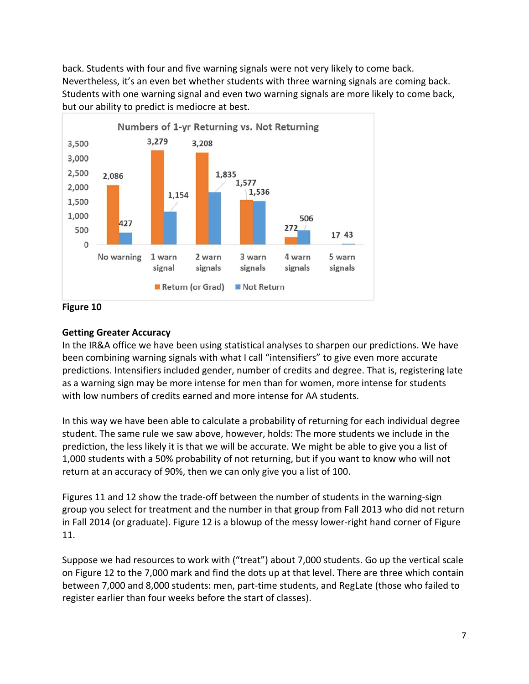back. Students with four and five warning signals were not very likely to come back. Nevertheless, it's an even bet whether students with three warning signals are coming back. Students with one warning signal and even two warning signals are more likely to come back, but our ability to predict is mediocre at best.



 **Figure 10**

### **Getting Greater Accuracy**

 In the IR&A office we have been using statistical analyses to sharpen our predictions. We have been combining warning signals with what I call "intensifiers" to give even more accurate predictions. Intensifiers included gender, number of credits and degree. That is, registering late as a warning sign may be more intense for men than for women, more intense for students with low numbers of credits earned and more intense for AA students.

 In this way we have been able to calculate a probability of returning for each individual degree student. The same rule we saw above, however, holds: The more students we include in the prediction, the less likely it is that we will be accurate. We might be able to give you a list of 1,000 students with a 50% probability of not returning, but if you want to know who will not return at an accuracy of 90%, then we can only give you a list of 100.

 Figures 11 and 12 show the trade‐off between the number of students in the warning‐sign group you select for treatment and the number in that group from Fall 2013 who did not return in Fall 2014 (or graduate). Figure 12 is a blowup of the messy lower‐right hand corner of Figure 11.

 Suppose we had resources to work with ("treat") about 7,000 students. Go up the vertical scale on Figure 12 to the 7,000 mark and find the dots up at that level. There are three which contain between 7,000 and 8,000 students: men, part‐time students, and RegLate (those who failed to register earlier than four weeks before the start of classes).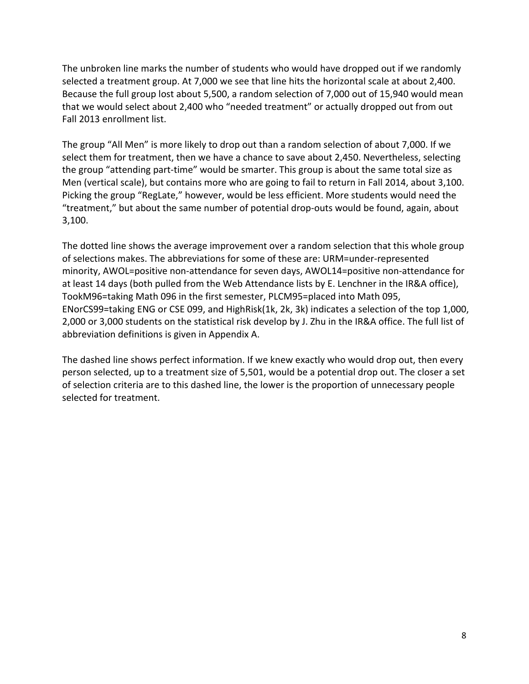The unbroken line marks the number of students who would have dropped out if we randomly selected a treatment group. At 7,000 we see that line hits the horizontal scale at about 2,400. Because the full group lost about 5,500, a random selection of 7,000 out of 15,940 would mean that we would select about 2,400 who "needed treatment" or actually dropped out from out Fall 2013 enrollment list.

 The group "All Men" is more likely to drop out than a random selection of about 7,000. If we select them for treatment, then we have a chance to save about 2,450. Nevertheless, selecting the group "attending part‐time" would be smarter. This group is about the same total size as Men (vertical scale), but contains more who are going to fail to return in Fall 2014, about 3,100. Picking the group "RegLate," however, would be less efficient. More students would need the "treatment," but about the same number of potential drop‐outs would be found, again, about 3,100.

 The dotted line shows the average improvement over a random selection that this whole group of selections makes. The abbreviations for some of these are: URM=under‐represented minority, AWOL=positive non‐attendance for seven days, AWOL14=positive non‐attendance for at least 14 days (both pulled from the Web Attendance lists by E. Lenchner in the IR&A office), TookM96=taking Math 096 in the first semester, PLCM95=placed into Math 095, ENorCS99=taking ENG or CSE 099, and HighRisk(1k, 2k, 3k) indicates a selection of the top 1,000, 2,000 or 3,000 students on the statistical risk develop by J. Zhu in the IR&A office. The full list of abbreviation definitions is given in Appendix A.

 The dashed line shows perfect information. If we knew exactly who would drop out, then every person selected, up to a treatment size of 5,501, would be a potential drop out. The closer a set of selection criteria are to this dashed line, the lower is the proportion of unnecessary people selected for treatment.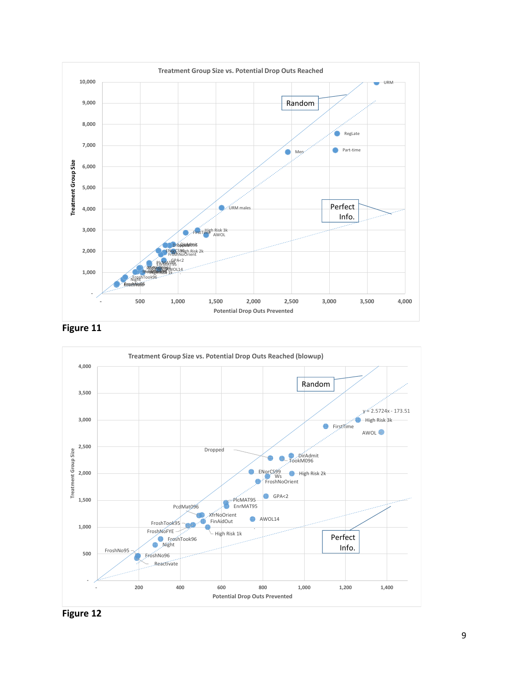





 **Figure 12**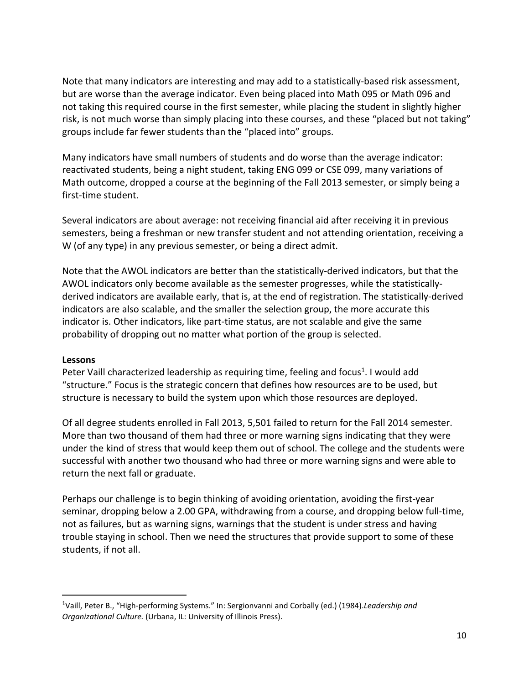Note that many indicators are interesting and may add to a statistically‐based risk assessment, but are worse than the average indicator. Even being placed into Math 095 or Math 096 and not taking this required course in the first semester, while placing the student in slightly higher risk, is not much worse than simply placing into these courses, and these "placed but not taking" groups include far fewer students than the "placed into" groups.

 Many indicators have small numbers of students and do worse than the average indicator: reactivated students, being a night student, taking ENG 099 or CSE 099, many variations of Math outcome, dropped a course at the beginning of the Fall 2013 semester, or simply being a first‐time student.

 Several indicators are about average: not receiving financial aid after receiving it in previous semesters, being a freshman or new transfer student and not attending orientation, receiving a W (of any type) in any previous semester, or being a direct admit.

 Note that the AWOL indicators are better than the statistically‐derived indicators, but that the AWOL indicators only become available as the semester progresses, while the statistically‐ derived indicators are available early, that is, at the end of registration. The statistically‐derived indicators are also scalable, and the smaller the selection group, the more accurate this indicator is. Other indicators, like part‐time status, are not scalable and give the same probability of dropping out no matter what portion of the group is selected.

#### **Lessons**

Peter Vaill characterized leadership as requiring time, feeling and focus<sup>1</sup>. I would add "structure." Focus is the strategic concern that defines how resources are to be used, but structure is necessary to build the system upon which those resources are deployed.

 Of all degree students enrolled in Fall 2013, 5,501 failed to return for the Fall 2014 semester. More than two thousand of them had three or more warning signs indicating that they were under the kind of stress that would keep them out of school. The college and the students were successful with another two thousand who had three or more warning signs and were able to return the next fall or graduate.

 Perhaps our challenge is to begin thinking of avoiding orientation, avoiding the first‐year seminar, dropping below a 2.00 GPA, withdrawing from a course, and dropping below full-time, not as failures, but as warning signs, warnings that the student is under stress and having trouble staying in school. Then we need the structures that provide support to some of these students, if not all.

  1 Vaill, Peter B., "High‐performing Systems." In: Sergionvanni and Corbally (ed.) (1984).*Leadership and Organizational Culture.* (Urbana, IL: University of Illinois Press).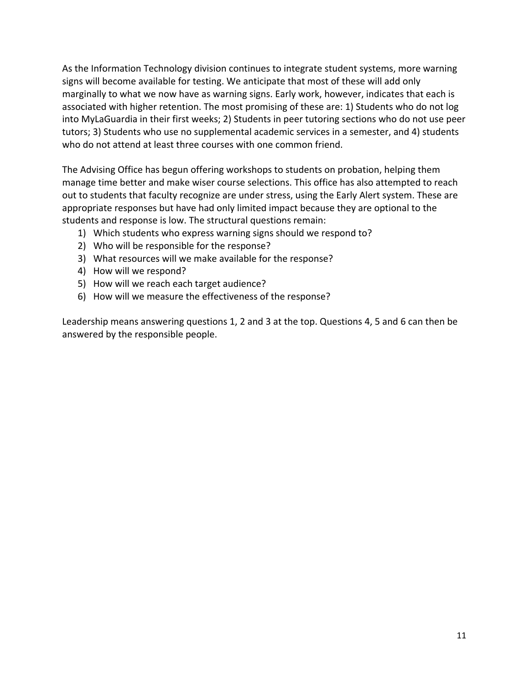As the Information Technology division continues to integrate student systems, more warning signs will become available for testing. We anticipate that most of these will add only marginally to what we now have as warning signs. Early work, however, indicates that each is associated with higher retention. The most promising of these are: 1) Students who do not log into MyLaGuardia in their first weeks; 2) Students in peer tutoring sections who do not use peer tutors; 3) Students who use no supplemental academic services in a semester, and 4) students who do not attend at least three courses with one common friend.

 The Advising Office has begun offering workshops to students on probation, helping them manage time better and make wiser course selections. This office has also attempted to reach out to students that faculty recognize are under stress, using the Early Alert system. These are appropriate responses but have had only limited impact because they are optional to the students and response is low. The structural questions remain:

- 1) Which students who express warning signs should we respond to?
- 2) Who will be responsible for the response?
- 3) What resources will we make available for the response?
- 4) How will we respond?
- 5) How will we reach each target audience?
- 6) How will we measure the effectiveness of the response?

 Leadership means answering questions 1, 2 and 3 at the top. Questions 4, 5 and 6 can then be answered by the responsible people.